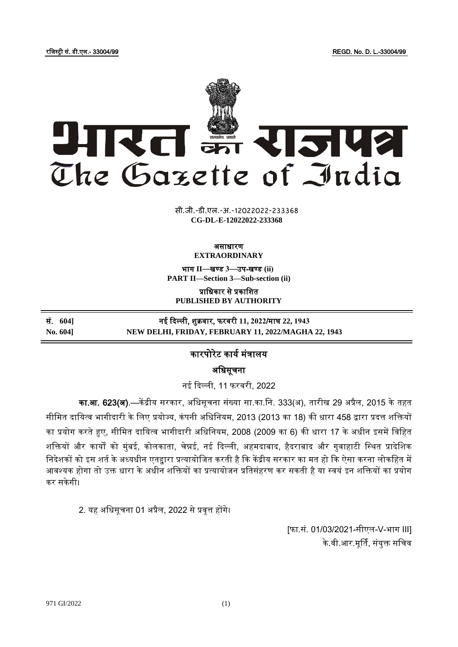रजिस्ट्री सं. डी.एल.- 33004/99 REGD. No. D. L.-33004/99



**xxxGIDHxxx xxx**GIDE**xxx CG-DL-E-12022022-233368**सी.जी.-डी.एल.-अ.-12022022-233368

## असाधारण **EXTRAORDINARY**

भाग **II**—खण् ड **3**—उप-खण् ड **(ii) PART II—Section 3—Sub-section (ii)**

प्राजधकार से प्रकाजित **PUBLISHED BY AUTHORITY**

सं. **604]** नई दिल्ली, ि क्रवार, फरवरी **11, 2022**/माघ **22, 1943 No. 604] NEW DELHI, FRIDAY, FEBRUARY 11, 2022/MAGHA 22, 1943**

## कारपोरेट कार्य मंत्रालर्

अजधसूचना

नई दिल्ली, 11 फरवरी, 2022

का.<mark>आ. 623(अ)</mark>.—केंद्रीय सरकार, अधिसूचना संख्या सा.का.नि. 333(अ), तारीख 29 अप्रैल, 2015 के तहत सीमित दायित्व भागीदारी के लिए प्रयोज्य, कंपनी अधिनियम, 2013 (2013 का 18) की धारा 458 द्वारा प्रदत्त शक्तियों का प्रयोग करते हुए, सीमित दायित्व भागीदारी अधिनियम, 2008 (2009 का 6) की धारा 17 के अधीन इसमें विहित शक्तियों और कार्यों को मुंबई, कोलकाता, चेन्नई, नई दिल्ली, अहमदाबाद, हैदराबाद और गुवाहाटी स्थित प्रादेशिक निदेशकों को इस शर्त के अध्यधीन एतद्दारा प्रत्यायोजित करती है कि केंद्रीय सरकार का मत हो कि ऐसा करना लोकहित में आवश्यक होगा तो उक्त धारा के अधीन शक्तियों का प्रत्यायोजन प्रतिसंहरण कर सकती है या स्वयं इन शक्तियों का प्रयोग कर सकेगी।

2. र्ह अजधसूचना 01 अप्रैल, 2022 सेप्रवृत्त होंगे।

[फा.सं. 01/03/2021-सीएल-V-भाग III] के.वी.आर.मूर्ति, संयुक्त सचिव